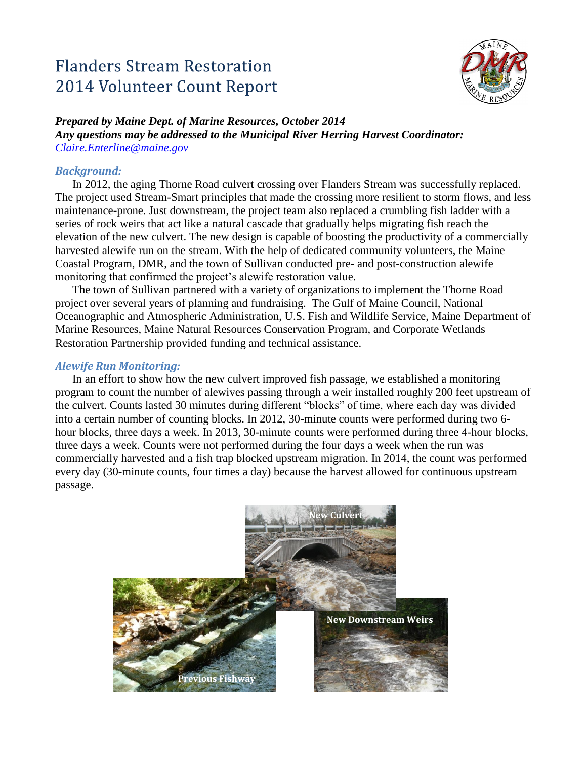

# *Prepared by Maine Dept. of Marine Resources, October 2014*

*Any questions may be addressed to the Municipal River Herring Harvest Coordinator: [Claire.Enterline@maine.gov](mailto:Claire.Enterline@maine.gov)*

## *Background:*

In 2012, the aging Thorne Road culvert crossing over Flanders Stream was successfully replaced. The project used Stream-Smart principles that made the crossing more resilient to storm flows, and less maintenance-prone. Just downstream, the project team also replaced a crumbling fish ladder with a series of rock weirs that act like a natural cascade that gradually helps migrating fish reach the elevation of the new culvert. The new design is capable of boosting the productivity of a commercially harvested alewife run on the stream. With the help of dedicated community volunteers, the Maine Coastal Program, DMR, and the town of Sullivan conducted pre- and post-construction alewife monitoring that confirmed the project's alewife restoration value.

The town of Sullivan partnered with a variety of organizations to implement the Thorne Road project over several years of planning and fundraising. The Gulf of Maine Council, National Oceanographic and Atmospheric Administration, U.S. Fish and Wildlife Service, Maine Department of Marine Resources, Maine Natural Resources Conservation Program, and Corporate Wetlands Restoration Partnership provided funding and technical assistance.

## *Alewife Run Monitoring:*

In an effort to show how the new culvert improved fish passage, we established a monitoring program to count the number of alewives passing through a weir installed roughly 200 feet upstream of the culvert. Counts lasted 30 minutes during different "blocks" of time, where each day was divided into a certain number of counting blocks. In 2012, 30-minute counts were performed during two 6 hour blocks, three days a week. In 2013, 30-minute counts were performed during three 4-hour blocks, three days a week. Counts were not performed during the four days a week when the run was commercially harvested and a fish trap blocked upstream migration. In 2014, the count was performed every day (30-minute counts, four times a day) because the harvest allowed for continuous upstream passage.

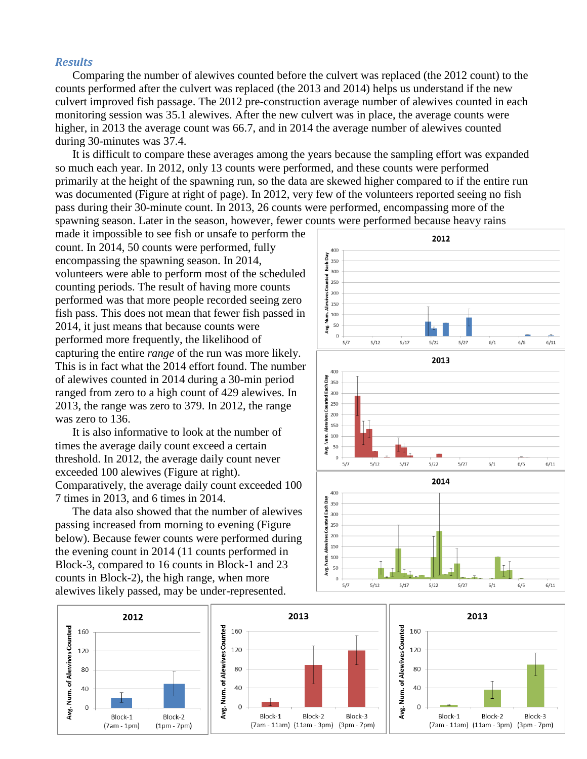#### *Results*

Comparing the number of alewives counted before the culvert was replaced (the 2012 count) to the counts performed after the culvert was replaced (the 2013 and 2014) helps us understand if the new culvert improved fish passage. The 2012 pre-construction average number of alewives counted in each monitoring session was 35.1 alewives. After the new culvert was in place, the average counts were higher, in 2013 the average count was 66.7, and in 2014 the average number of alewives counted during 30-minutes was 37.4.

It is difficult to compare these averages among the years because the sampling effort was expanded so much each year. In 2012, only 13 counts were performed, and these counts were performed primarily at the height of the spawning run, so the data are skewed higher compared to if the entire run was documented (Figure at right of page). In 2012, very few of the volunteers reported seeing no fish pass during their 30-minute count. In 2013, 26 counts were performed, encompassing more of the spawning season. Later in the season, however, fewer counts were performed because heavy rains

made it impossible to see fish or unsafe to perform the count. In 2014, 50 counts were performed, fully encompassing the spawning season. In 2014, volunteers were able to perform most of the scheduled counting periods. The result of having more counts performed was that more people recorded seeing zero fish pass. This does not mean that fewer fish passed in 2014, it just means that because counts were performed more frequently, the likelihood of capturing the entire *range* of the run was more likely. This is in fact what the 2014 effort found. The number of alewives counted in 2014 during a 30-min period ranged from zero to a high count of 429 alewives. In 2013, the range was zero to 379. In 2012, the range was zero to 136.

It is also informative to look at the number of times the average daily count exceed a certain threshold. In 2012, the average daily count never exceeded 100 alewives (Figure at right). Comparatively, the average daily count exceeded 100 7 times in 2013, and 6 times in 2014.

The data also showed that the number of alewives passing increased from morning to evening (Figure below). Because fewer counts were performed during the evening count in 2014 (11 counts performed in Block-3, compared to 16 counts in Block-1 and 23 counts in Block-2), the high range, when more alewives likely passed, may be under-represented.